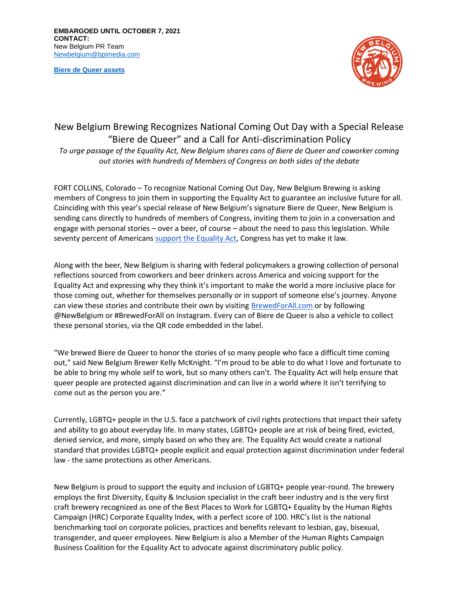**[Biere de Queer assets](https://assets.newbelgium.com/share/1DD1B3ED-0773-42C7-88F353ED833BD70E/)**



## New Belgium Brewing Recognizes National Coming Out Day with a Special Release "Biere de Queer" and a Call for Anti-discrimination Policy

*To urge passage of the Equality Act, New Belgium shares cans of Biere de Queer and coworker coming out stories with hundreds of Members of Congress on both sides of the debate*

FORT COLLINS, Colorado – To recognize National Coming Out Day, New Belgium Brewing is asking members of Congress to join them in supporting the Equality Act to guarantee an inclusive future for all. Coinciding with this year's special release of New Belgium's signature Biere de Queer, New Belgium is sending cans directly to hundreds of members of Congress, inviting them to join in a conversation and engage with personal stories – over a beer, of course – about the need to pass this legislation. While seventy percent of Americans [support the Equality Act,](https://www.hrc.org/press-releases/new-poll-7-in-10-voters-support-the-equality-act) Congress has yet to make it law.

Along with the beer, New Belgium is sharing with federal policymakers a growing collection of personal reflections sourced from coworkers and beer drinkers across America and voicing support for the Equality Act and expressing why they think it's important to make the world a more inclusive place for those coming out, whether for themselves personally or in support of someone else's journey. Anyone can view these stories and contribute their own by visiting [BrewedForAll.com](http://www.brewedforall.com/) or by following @NewBelgium or #BrewedForAll on Instagram. Every can of Biere de Queer is also a vehicle to collect these personal stories, via the QR code embedded in the label.

"We brewed Biere de Queer to honor the stories of so many people who face a difficult time coming out," said New Belgium Brewer Kelly McKnight. "I'm proud to be able to do what I love and fortunate to be able to bring my whole self to work, but so many others can't. The Equality Act will help ensure that queer people are protected against discrimination and can live in a world where it isn't terrifying to come out as the person you are."

Currently, LGBTQ+ people in the U.S. face a patchwork of civil rights protections that impact their safety and ability to go about everyday life. In many states, LGBTQ+ people are at risk of being fired, evicted, denied service, and more, simply based on who they are. The Equality Act would create a national standard that provides LGBTQ+ people explicit and equal protection against discrimination under federal law - the same protections as other Americans.

New Belgium is proud to support the equity and inclusion of LGBTQ+ people year-round. The brewery employs the first Diversity, Equity & Inclusion specialist in the craft beer industry and is the very first craft brewery recognized as one of the Best Places to Work for LGBTQ+ Equality by the Human Rights Campaign (HRC) Corporate Equality Index, with a perfect score of 100. HRC's list is the national benchmarking tool on corporate policies, practices and benefits relevant to lesbian, gay, bisexual, transgender, and queer employees. New Belgium is also a Member of the Human Rights Campaign Business Coalition for the Equality Act to advocate against discriminatory public policy.